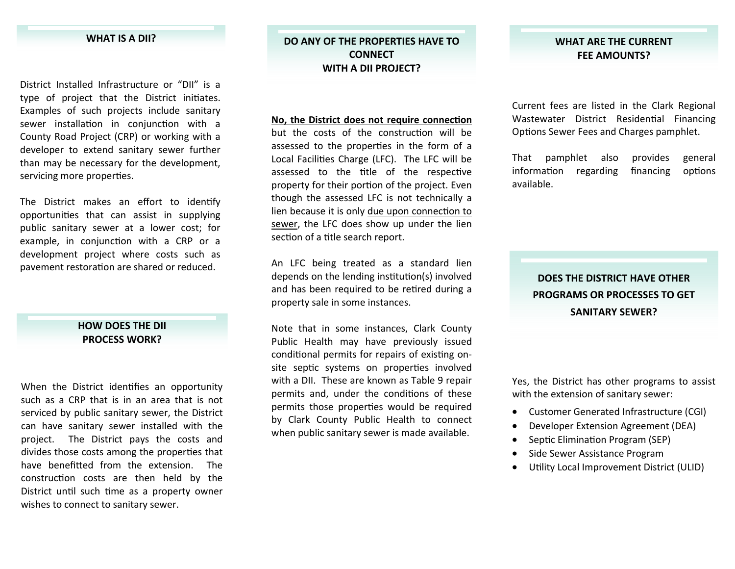#### **WHAT IS A DII? DO**

District Installed Infrastructure or "DII" is <sup>a</sup> type of project that the District initiates. Examples of such projects include sanitary sewer installation in conjunction with a County Road Project (CRP) or working with <sup>a</sup> developer to extend sanitary sewer further than may be necessary for the development, servicing more properties.

The District makes an effort to identify opportunities that can assist in supplying public sanitary sewer at <sup>a</sup> lower cost; for example, in conjunction with a CRP or a development project where costs such as pavement restoration are shared or reduced.

#### **HOW DOES THE DII PROCESS WORK?**

When the District identifies an opportunity such as <sup>a</sup> CRP that is in an area that is not serviced by public sanitary sewer, the District can have sanitary sewer installed with the project. The District pays the costs and divides those costs among the properties that have benefitted from the extension. The construction costs are then held by the District until such time as a property owner wishes to connect to sanitary sewer.

### **ANY OF THE PROPERTIES HAVE TO CONNECTWITHA DII PROJECT?**

**No, the District does not require connec Ɵon** but the costs of the construction will be assessed to the properties in the form of a Local Facilities Charge (LFC). The LFC will be assessed to the title of the respective property for their portion of the project. Even though the assessed LFC is not technically <sup>a</sup> lien because it is only <u>due upon connection to</u> sewer, the LFC does show up under the lien section of a title search report.

An LFC being treated as <sup>a</sup> standard lien depends on the lending institution(s) involved and has been required to be retired during a property sale in some instances.

Note that in some instances, Clark County Public Health may have previously issued conditional permits for repairs of existing onsite septic systems on properties involved with <sup>a</sup> DII. These are known as Table 9 repair permits and, under the conditions of these permits those properties would be required by Clark County Public Health to connect when public sanitary sew er is made available.

#### **WHAT ARE THE CURRENT FEE AMOUNTS?**

Current fees are listed in the Clark Regional Wastewater District Residential Financing Op Ɵons Sewer Fees and Charges pamphlet.

That pamphlet also provides general information regarding financing tions available.

## **DOES THE DISTRICT HAVE OTHERPROGRAMS OR PROCESSES TO GET SANITARY SEWER?**

Yes, the District has other programs to assist with the extension of sanitary sewer:

- Customer Generated Infrastructure (CGI)
- $\bullet$ Developer Extension Agreement (DEA)
- $\bullet$ Septic Elimination Program (SEP)
- $\bullet$ Side Sewer Assistance Program
- $\bullet$ Utility Local Improvement District (ULID)